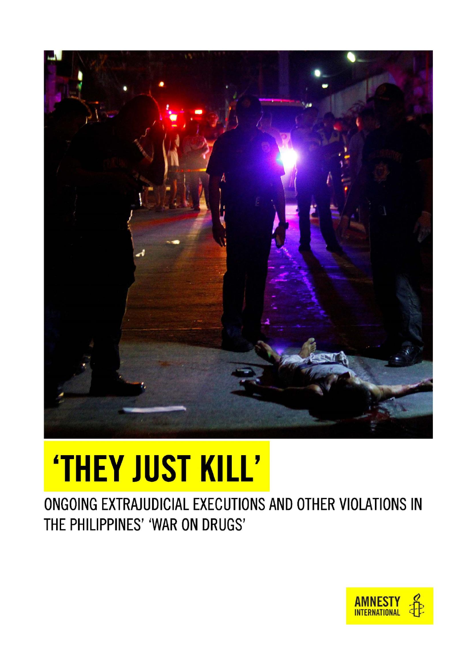

## **'THEY JUST KILL'**

ONGOING EXTRAJUDICIAL EXECUTIONS AND OTHER VIOLATIONS IN THE PHILIPPINES' 'WAR ON DRUGS'

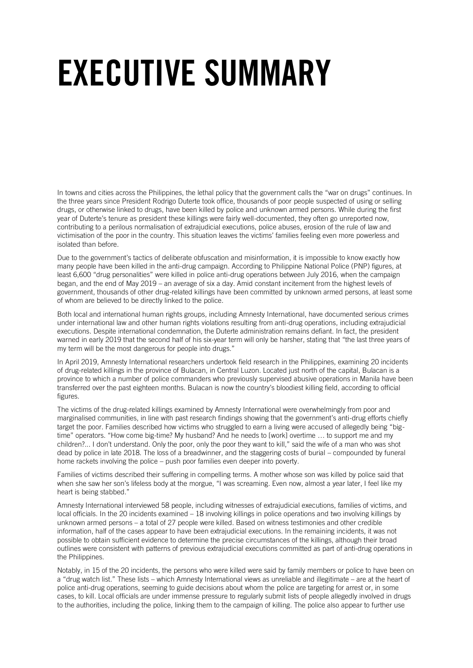# EXECUTIVE SUMMARY

In towns and cities across the Philippines, the lethal policy that the government calls the "war on drugs" continues. In the three years since President Rodrigo Duterte took office, thousands of poor people suspected of using or selling drugs, or otherwise linked to drugs, have been killed by police and unknown armed persons. While during the first year of Duterte's tenure as president these killings were fairly well-documented, they often go unreported now, contributing to a perilous normalisation of extrajudicial executions, police abuses, erosion of the rule of law and victimisation of the poor in the country. This situation leaves the victims' families feeling even more powerless and isolated than before.

Due to the government's tactics of deliberate obfuscation and misinformation, it is impossible to know exactly how many people have been killed in the anti-drug campaign. According to Philippine National Police (PNP) figures, at least 6,600 "drug personalities" were killed in police anti-drug operations between July 2016, when the campaign began, and the end of May 2019 – an average of six a day. Amid constant incitement from the highest levels of government, thousands of other drug-related killings have been committed by unknown armed persons, at least some of whom are believed to be directly linked to the police.

Both local and international human rights groups, including Amnesty International, have documented serious crimes under international law and other human rights violations resulting from anti-drug operations, including extrajudicial executions. Despite international condemnation, the Duterte administration remains defiant. In fact, the president warned in early 2019 that the second half of his six-year term will only be harsher, stating that "the last three years of my term will be the most dangerous for people into drugs."

In April 2019, Amnesty International researchers undertook field research in the Philippines, examining 20 incidents of drug-related killings in the province of Bulacan, in Central Luzon. Located just north of the capital, Bulacan is a province to which a number of police commanders who previously supervised abusive operations in Manila have been transferred over the past eighteen months. Bulacan is now the country's bloodiest killing field, according to official figures.

The victims of the drug-related killings examined by Amnesty International were overwhelmingly from poor and marginalised communities, in line with past research findings showing that the government's anti-drug efforts chiefly target the poor. Families described how victims who struggled to earn a living were accused of allegedly being "bigtime" operators. "How come big-time? My husband? And he needs to [work] overtime … to support me and my children?... I don't understand. Only the poor, only the poor they want to kill," said the wife of a man who was shot dead by police in late 2018. The loss of a breadwinner, and the staggering costs of burial – compounded by funeral home rackets involving the police – push poor families even deeper into poverty.

Families of victims described their suffering in compelling terms. A mother whose son was killed by police said that when she saw her son's lifeless body at the morgue, "I was screaming. Even now, almost a year later, I feel like my heart is being stabbed."

Amnesty International interviewed 58 people, including witnesses of extrajudicial executions, families of victims, and local officials. In the 20 incidents examined – 18 involving killings in police operations and two involving killings by unknown armed persons – a total of 27 people were killed. Based on witness testimonies and other credible information, half of the cases appear to have been extrajudicial executions. In the remaining incidents, it was not possible to obtain sufficient evidence to determine the precise circumstances of the killings, although their broad outlines were consistent with patterns of previous extrajudicial executions committed as part of anti-drug operations in the Philippines.

Notably, in 15 of the 20 incidents, the persons who were killed were said by family members or police to have been on a "drug watch list." These lists – which Amnesty International views as unreliable and illegitimate – are at the heart of police anti-drug operations, seeming to guide decisions about whom the police are targeting for arrest or, in some cases, to kill. Local officials are under immense pressure to regularly submit lists of people allegedly involved in drugs to the authorities, including the police, linking them to the campaign of killing. The police also appear to further use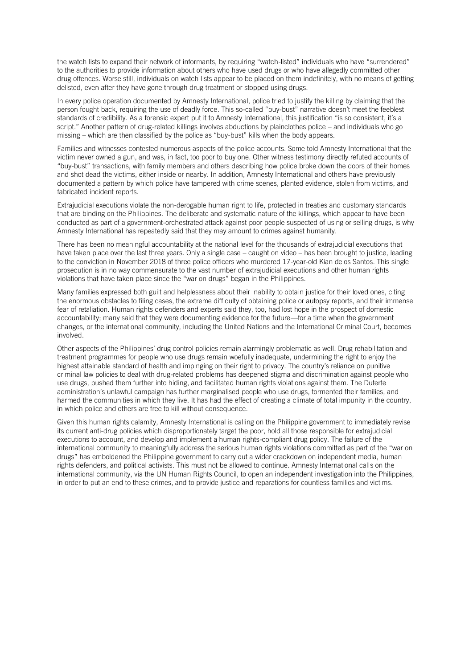the watch lists to expand their network of informants, by requiring "watch-listed" individuals who have "surrendered" to the authorities to provide information about others who have used drugs or who have allegedly committed other drug offences. Worse still, individuals on watch lists appear to be placed on them indefinitely, with no means of getting delisted, even after they have gone through drug treatment or stopped using drugs.

In every police operation documented by Amnesty International, police tried to justify the killing by claiming that the person fought back, requiring the use of deadly force. This so-called "buy-bust" narrative doesn't meet the feeblest standards of credibility. As a forensic expert put it to Amnesty International, this justification "is so consistent, it's a script." Another pattern of drug-related killings involves abductions by plainclothes police – and individuals who go missing – which are then classified by the police as "buy-bust" kills when the body appears.

Families and witnesses contested numerous aspects of the police accounts. Some told Amnesty International that the victim never owned a gun, and was, in fact, too poor to buy one. Other witness testimony directly refuted accounts of "buy-bust" transactions, with family members and others describing how police broke down the doors of their homes and shot dead the victims, either inside or nearby. In addition, Amnesty International and others have previously documented a pattern by which police have tampered with crime scenes, planted evidence, stolen from victims, and fabricated incident reports.

Extrajudicial executions violate the non-derogable human right to life, protected in treaties and customary standards that are binding on the Philippines. The deliberate and systematic nature of the killings, which appear to have been conducted as part of a government-orchestrated attack against poor people suspected of using or selling drugs, is why Amnesty International has repeatedly said that they may amount to crimes against humanity.

There has been no meaningful accountability at the national level for the thousands of extrajudicial executions that have taken place over the last three years. Only a single case – caught on video – has been brought to justice, leading to the conviction in November 2018 of three police officers who murdered 17-year-old Kian delos Santos. This single prosecution is in no way commensurate to the vast number of extrajudicial executions and other human rights violations that have taken place since the "war on drugs" began in the Philippines.

Many families expressed both guilt and helplessness about their inability to obtain justice for their loved ones, citing the enormous obstacles to filing cases, the extreme difficulty of obtaining police or autopsy reports, and their immense fear of retaliation. Human rights defenders and experts said they, too, had lost hope in the prospect of domestic accountability; many said that they were documenting evidence for the future—for a time when the government changes, or the international community, including the United Nations and the International Criminal Court, becomes involved.

Other aspects of the Philippines' drug control policies remain alarmingly problematic as well. Drug rehabilitation and treatment programmes for people who use drugs remain woefully inadequate, undermining the right to enjoy the highest attainable standard of health and impinging on their right to privacy. The country's reliance on punitive criminal law policies to deal with drug-related problems has deepened stigma and discrimination against people who use drugs, pushed them further into hiding, and facilitated human rights violations against them. The Duterte administration's unlawful campaign has further marginalised people who use drugs, tormented their families, and harmed the communities in which they live. It has had the effect of creating a climate of total impunity in the country, in which police and others are free to kill without consequence.

Given this human rights calamity, Amnesty International is calling on the Philippine government to immediately revise its current anti-drug policies which disproportionately target the poor, hold all those responsible for extrajudicial executions to account, and develop and implement a human rights-compliant drug policy. The failure of the international community to meaningfully address the serious human rights violations committed as part of the "war on drugs" has emboldened the Philippine government to carry out a wider crackdown on independent media, human rights defenders, and political activists. This must not be allowed to continue. Amnesty International calls on the international community, via the UN Human Rights Council, to open an independent investigation into the Philippines, in order to put an end to these crimes, and to provide justice and reparations for countless families and victims.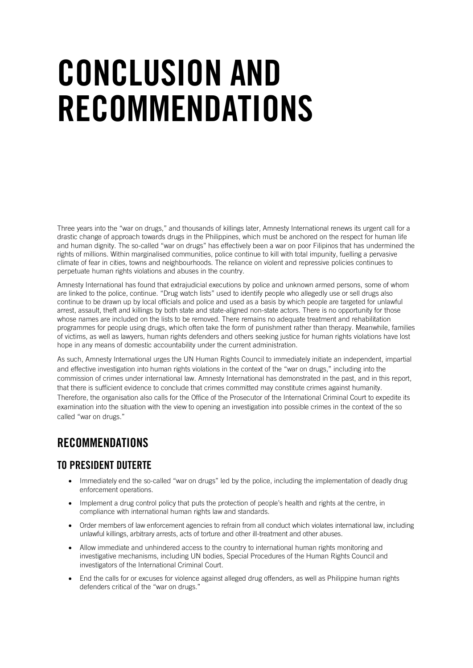### CONCLUSION AND RECOMMENDATIONS

Three years into the "war on drugs," and thousands of killings later, Amnesty International renews its urgent call for a drastic change of approach towards drugs in the Philippines, which must be anchored on the respect for human life and human dignity. The so-called "war on drugs" has effectively been a war on poor Filipinos that has undermined the rights of millions. Within marginalised communities, police continue to kill with total impunity, fuelling a pervasive climate of fear in cities, towns and neighbourhoods. The reliance on violent and repressive policies continues to perpetuate human rights violations and abuses in the country.

Amnesty International has found that extrajudicial executions by police and unknown armed persons, some of whom are linked to the police, continue. "Drug watch lists" used to identify people who allegedly use or sell drugs also continue to be drawn up by local officials and police and used as a basis by which people are targeted for unlawful arrest, assault, theft and killings by both state and state-aligned non-state actors. There is no opportunity for those whose names are included on the lists to be removed. There remains no adequate treatment and rehabilitation programmes for people using drugs, which often take the form of punishment rather than therapy. Meanwhile, families of victims, as well as lawyers, human rights defenders and others seeking justice for human rights violations have lost hope in any means of domestic accountability under the current administration.

As such, Amnesty International urges the UN Human Rights Council to immediately initiate an independent, impartial and effective investigation into human rights violations in the context of the "war on drugs," including into the commission of crimes under international law. Amnesty International has demonstrated in the past, and in this report, that there is sufficient evidence to conclude that crimes committed may constitute crimes against humanity. Therefore, the organisation also calls for the Office of the Prosecutor of the International Criminal Court to expedite its examination into the situation with the view to opening an investigation into possible crimes in the context of the so called "war on drugs."

### RECOMMENDATIONS

#### TO PRESIDENT DUTERTE

- Immediately end the so-called "war on drugs" led by the police, including the implementation of deadly drug enforcement operations.
- Implement a drug control policy that puts the protection of people's health and rights at the centre, in compliance with international human rights law and standards.
- Order members of law enforcement agencies to refrain from all conduct which violates international law, including unlawful killings, arbitrary arrests, acts of torture and other ill-treatment and other abuses.
- Allow immediate and unhindered access to the country to international human rights monitoring and investigative mechanisms, including UN bodies, Special Procedures of the Human Rights Council and investigators of the International Criminal Court.
- End the calls for or excuses for violence against alleged drug offenders, as well as Philippine human rights defenders critical of the "war on drugs."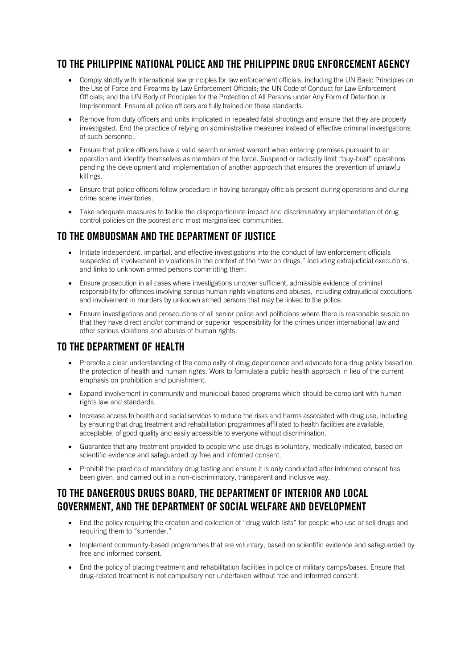#### TO THE PHILIPPINE NATIONAL POLICE AND THE PHILIPPINE DRUG ENFORCEMENT AGENCY

- Comply strictly with international law principles for law enforcement officials, including the UN Basic Principles on the Use of Force and Firearms by Law Enforcement Officials; the UN Code of Conduct for Law Enforcement Officials; and the UN Body of Principles for the Protection of All Persons under Any Form of Detention or Imprisonment. Ensure all police officers are fully trained on these standards.
- Remove from duty officers and units implicated in repeated fatal shootings and ensure that they are properly investigated. End the practice of relying on administrative measures instead of effective criminal investigations of such personnel.
- Ensure that police officers have a valid search or arrest warrant when entering premises pursuant to an operation and identify themselves as members of the force. Suspend or radically limit "buy-bust" operations pending the development and implementation of another approach that ensures the prevention of unlawful killings.
- Ensure that police officers follow procedure in having barangay officials present during operations and during crime scene inventories.
- Take adequate measures to tackle the disproportionate impact and discriminatory implementation of drug control policies on the poorest and most marginalised communities.

#### TO THE OMBUDSMAN AND THE DEPARTMENT OF JUSTICE

- Initiate independent, impartial, and effective investigations into the conduct of law enforcement officials suspected of involvement in violations in the context of the "war on drugs," including extrajudicial executions, and links to unknown armed persons committing them.
- Ensure prosecution in all cases where investigations uncover sufficient, admissible evidence of criminal responsibility for offences involving serious human rights violations and abuses, including extrajudicial executions and involvement in murders by unknown armed persons that may be linked to the police.
- Ensure investigations and prosecutions of all senior police and politicians where there is reasonable suspicion that they have direct and/or command or superior responsibility for the crimes under international law and other serious violations and abuses of human rights.

#### TO THE DEPARTMENT OF HEALTH

- Promote a clear understanding of the complexity of drug dependence and advocate for a drug policy based on the protection of health and human rights. Work to formulate a public health approach in lieu of the current emphasis on prohibition and punishment.
- Expand involvement in community and municipal-based programs which should be compliant with human rights law and standards.
- Increase access to health and social services to reduce the risks and harms associated with drug use, including by ensuring that drug treatment and rehabilitation programmes affiliated to health facilities are available, acceptable, of good quality and easily accessible to everyone without discrimination.
- Guarantee that any treatment provided to people who use drugs is voluntary, medically indicated, based on scientific evidence and safeguarded by free and informed consent.
- Prohibit the practice of mandatory drug testing and ensure it is only conducted after informed consent has been given, and carried out in a non-discriminatory, transparent and inclusive way.

#### TO THE DANGEROUS DRUGS BOARD, THE DEPARTMENT OF INTERIOR AND LOCAL GOVERNMENT, AND THE DEPARTMENT OF SOCIAL WELFARE AND DEVELOPMENT

- End the policy requiring the creation and collection of "drug watch lists" for people who use or sell drugs and requiring them to "surrender."
- Implement community-based programmes that are voluntary, based on scientific evidence and safeguarded by free and informed consent.
- End the policy of placing treatment and rehabilitation facilities in police or military camps/bases. Ensure that drug-related treatment is not compulsory nor undertaken without free and informed consent.